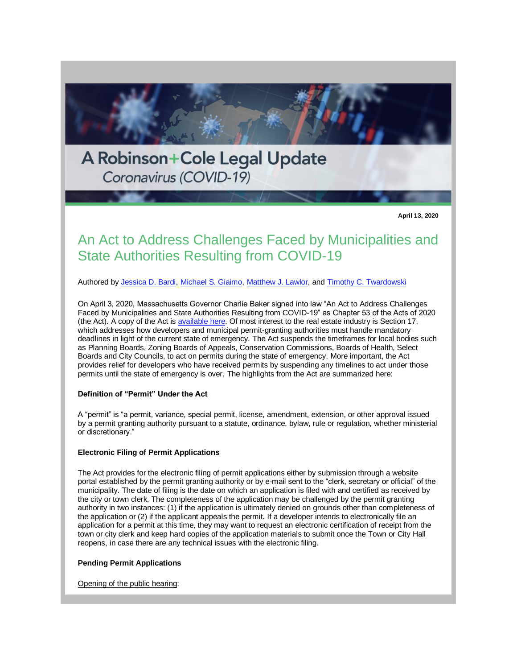

An Act to Address Challenges Faced by Municipalities and State Authorities Resulting from COVID-19

Authored by [Jessica D. Bardi,](https://protect-us.mimecast.com/s/M12bCKrGoRiDkKvWFAy0Qw?domain=r20.rs6.net) [Michael S. Giaimo,](https://protect-us.mimecast.com/s/o_foCL9GpRik2qp9TjZ54d?domain=r20.rs6.net) [Matthew J. Lawlor,](https://protect-us.mimecast.com/s/oIeDCM8Xq6H2YP03c1Bgcf?domain=r20.rs6.net) and [Timothy C. Twardowski](https://protect-us.mimecast.com/s/I_yfCNkGrRCZpLr3Czbmbu?domain=r20.rs6.net)

On April 3, 2020, Massachusetts Governor Charlie Baker signed into law "An Act to Address Challenges Faced by Municipalities and State Authorities Resulting from COVID-19" as Chapter 53 of the Acts of 2020 (the Act). A copy of the Act is [available here.](https://protect-us.mimecast.com/s/A6txCOYGvRfNkY9xsj53Z-?domain=r20.rs6.net) Of most interest to the real estate industry is Section 17, which addresses how developers and municipal permit-granting authorities must handle mandatory deadlines in light of the current state of emergency. The Act suspends the timeframes for local bodies such as Planning Boards, Zoning Boards of Appeals, Conservation Commissions, Boards of Health, Select Boards and City Councils, to act on permits during the state of emergency. More important, the Act provides relief for developers who have received permits by suspending any timelines to act under those permits until the state of emergency is over. The highlights from the Act are summarized here:

# **Definition of "Permit" Under the Act**

A "permit" is "a permit, variance, special permit, license, amendment, extension, or other approval issued by a permit granting authority pursuant to a statute, ordinance, bylaw, rule or regulation, whether ministerial or discretionary."

#### **Electronic Filing of Permit Applications**

The Act provides for the electronic filing of permit applications either by submission through a website portal established by the permit granting authority or by e-mail sent to the "clerk, secretary or official" of the municipality. The date of filing is the date on which an application is filed with and certified as received by the city or town clerk. The completeness of the application may be challenged by the permit granting authority in two instances: (1) if the application is ultimately denied on grounds other than completeness of the application or (2) if the applicant appeals the permit. If a developer intends to electronically file an application for a permit at this time, they may want to request an electronic certification of receipt from the town or city clerk and keep hard copies of the application materials to submit once the Town or City Hall reopens, in case there are any technical issues with the electronic filing.

#### **Pending Permit Applications**

Opening of the public hearing: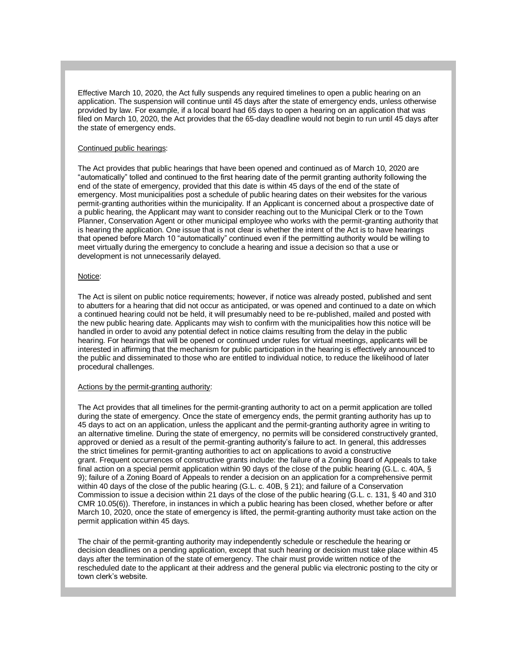Effective March 10, 2020, the Act fully suspends any required timelines to open a public hearing on an application. The suspension will continue until 45 days after the state of emergency ends, unless otherwise provided by law. For example, if a local board had 65 days to open a hearing on an application that was filed on March 10, 2020, the Act provides that the 65-day deadline would not begin to run until 45 days after the state of emergency ends.

## Continued public hearings:

The Act provides that public hearings that have been opened and continued as of March 10, 2020 are "automatically" tolled and continued to the first hearing date of the permit granting authority following the end of the state of emergency, provided that this date is within 45 days of the end of the state of emergency. Most municipalities post a schedule of public hearing dates on their websites for the various permit-granting authorities within the municipality. If an Applicant is concerned about a prospective date of a public hearing, the Applicant may want to consider reaching out to the Municipal Clerk or to the Town Planner, Conservation Agent or other municipal employee who works with the permit-granting authority that is hearing the application. One issue that is not clear is whether the intent of the Act is to have hearings that opened before March 10 "automatically" continued even if the permitting authority would be willing to meet virtually during the emergency to conclude a hearing and issue a decision so that a use or development is not unnecessarily delayed.

#### Notice:

The Act is silent on public notice requirements; however, if notice was already posted, published and sent to abutters for a hearing that did not occur as anticipated, or was opened and continued to a date on which a continued hearing could not be held, it will presumably need to be re-published, mailed and posted with the new public hearing date. Applicants may wish to confirm with the municipalities how this notice will be handled in order to avoid any potential defect in notice claims resulting from the delay in the public hearing. For hearings that will be opened or continued under rules for virtual meetings, applicants will be interested in affirming that the mechanism for public participation in the hearing is effectively announced to the public and disseminated to those who are entitled to individual notice, to reduce the likelihood of later procedural challenges.

#### Actions by the permit-granting authority:

The Act provides that all timelines for the permit-granting authority to act on a permit application are tolled during the state of emergency. Once the state of emergency ends, the permit granting authority has up to 45 days to act on an application, unless the applicant and the permit-granting authority agree in writing to an alternative timeline. During the state of emergency, no permits will be considered constructively granted, approved or denied as a result of the permit-granting authority's failure to act. In general, this addresses the strict timelines for permit-granting authorities to act on applications to avoid a constructive grant. Frequent occurrences of constructive grants include: the failure of a Zoning Board of Appeals to take final action on a special permit application within 90 days of the close of the public hearing (G.L. c. 40A, § 9); failure of a Zoning Board of Appeals to render a decision on an application for a comprehensive permit within 40 days of the close of the public hearing (G.L. c. 40B, § 21); and failure of a Conservation Commission to issue a decision within 21 days of the close of the public hearing (G.L. c. 131, § 40 and 310 CMR 10.05(6)). Therefore, in instances in which a public hearing has been closed, whether before or after March 10, 2020, once the state of emergency is lifted, the permit-granting authority must take action on the permit application within 45 days.

The chair of the permit-granting authority may independently schedule or reschedule the hearing or decision deadlines on a pending application, except that such hearing or decision must take place within 45 days after the termination of the state of emergency. The chair must provide written notice of the rescheduled date to the applicant at their address and the general public via electronic posting to the city or town clerk's website.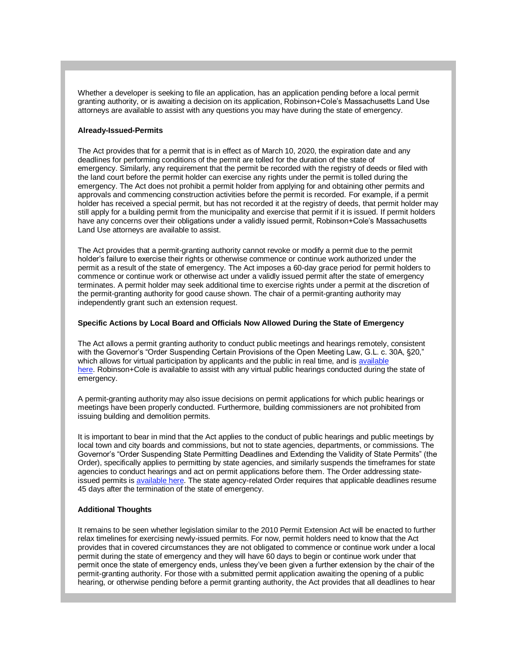Whether a developer is seeking to file an application, has an application pending before a local permit granting authority, or is awaiting a decision on its application, Robinson+Cole's Massachusetts Land Use attorneys are available to assist with any questions you may have during the state of emergency.

## **Already-Issued-Permits**

The Act provides that for a permit that is in effect as of March 10, 2020, the expiration date and any deadlines for performing conditions of the permit are tolled for the duration of the state of emergency. Similarly, any requirement that the permit be recorded with the registry of deeds or filed with the land court before the permit holder can exercise any rights under the permit is tolled during the emergency. The Act does not prohibit a permit holder from applying for and obtaining other permits and approvals and commencing construction activities before the permit is recorded. For example, if a permit holder has received a special permit, but has not recorded it at the registry of deeds, that permit holder may still apply for a building permit from the municipality and exercise that permit if it is issued. If permit holders have any concerns over their obligations under a validly issued permit, Robinson+Cole's Massachusetts Land Use attorneys are available to assist.

The Act provides that a permit-granting authority cannot revoke or modify a permit due to the permit holder's failure to exercise their rights or otherwise commence or continue work authorized under the permit as a result of the state of emergency. The Act imposes a 60-day grace period for permit holders to commence or continue work or otherwise act under a validly issued permit after the state of emergency terminates. A permit holder may seek additional time to exercise rights under a permit at the discretion of the permit-granting authority for good cause shown. The chair of a permit-granting authority may independently grant such an extension request.

## **Specific Actions by Local Board and Officials Now Allowed During the State of Emergency**

The Act allows a permit granting authority to conduct public meetings and hearings remotely, consistent with the Governor's "Order Suspending Certain Provisions of the Open Meeting Law, G.L. c. 30A, §20," which allows for virtual participation by applicants and the public in real time, and is available [here.](https://protect-us.mimecast.com/s/-nukCPNGw8C0ngrXcmMuDa?domain=r20.rs6.net) Robinson+Cole is available to assist with any virtual public hearings conducted during the state of emergency.

A permit-granting authority may also issue decisions on permit applications for which public hearings or meetings have been properly conducted. Furthermore, building commissioners are not prohibited from issuing building and demolition permits.

It is important to bear in mind that the Act applies to the conduct of public hearings and public meetings by local town and city boards and commissions, but not to state agencies, departments, or commissions. The Governor's "Order Suspending State Permitting Deadlines and Extending the Validity of State Permits" (the Order), specifically applies to permitting by state agencies, and similarly suspends the timeframes for state agencies to conduct hearings and act on permit applications before them. The Order addressing stateissued permits is [available here.](https://protect-us.mimecast.com/s/Hhk1CQWXxRfXLVEPhO1AWY?domain=r20.rs6.net) The state agency-related Order requires that applicable deadlines resume 45 days after the termination of the state of emergency.

# **Additional Thoughts**

It remains to be seen whether legislation similar to the 2010 Permit Extension Act will be enacted to further relax timelines for exercising newly-issued permits. For now, permit holders need to know that the Act provides that in covered circumstances they are not obligated to commence or continue work under a local permit during the state of emergency and they will have 60 days to begin or continue work under that permit once the state of emergency ends, unless they've been given a further extension by the chair of the permit-granting authority. For those with a submitted permit application awaiting the opening of a public hearing, or otherwise pending before a permit granting authority, the Act provides that all deadlines to hear